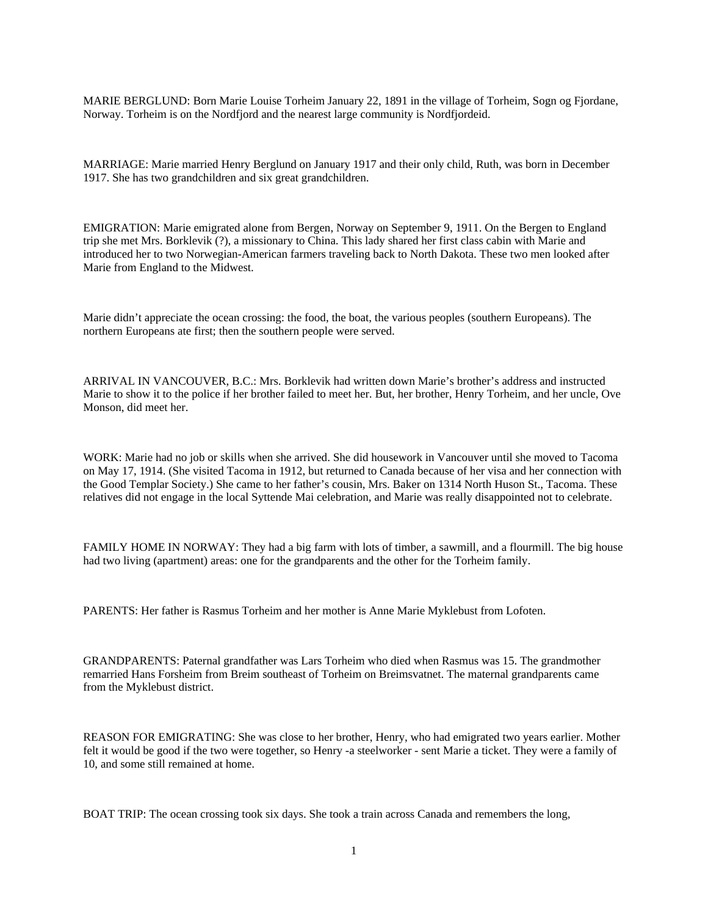MARIE BERGLUND: Born Marie Louise Torheim January 22, 1891 in the village of Torheim, Sogn og Fjordane, Norway. Torheim is on the Nordfjord and the nearest large community is Nordfjordeid.

MARRIAGE: Marie married Henry Berglund on January 1917 and their only child, Ruth, was born in December 1917. She has two grandchildren and six great grandchildren.

EMIGRATION: Marie emigrated alone from Bergen, Norway on September 9, 1911. On the Bergen to England trip she met Mrs. Borklevik (?), a missionary to China. This lady shared her first class cabin with Marie and introduced her to two Norwegian-American farmers traveling back to North Dakota. These two men looked after Marie from England to the Midwest.

Marie didn't appreciate the ocean crossing: the food, the boat, the various peoples (southern Europeans). The northern Europeans ate first; then the southern people were served.

ARRIVAL IN VANCOUVER, B.C.: Mrs. Borklevik had written down Marie's brother's address and instructed Marie to show it to the police if her brother failed to meet her. But, her brother, Henry Torheim, and her uncle, Ove Monson, did meet her.

WORK: Marie had no job or skills when she arrived. She did housework in Vancouver until she moved to Tacoma on May 17, 1914. (She visited Tacoma in 1912, but returned to Canada because of her visa and her connection with the Good Templar Society.) She came to her father's cousin, Mrs. Baker on 1314 North Huson St., Tacoma. These relatives did not engage in the local Syttende Mai celebration, and Marie was really disappointed not to celebrate.

FAMILY HOME IN NORWAY: They had a big farm with lots of timber, a sawmill, and a flourmill. The big house had two living (apartment) areas: one for the grandparents and the other for the Torheim family.

PARENTS: Her father is Rasmus Torheim and her mother is Anne Marie Myklebust from Lofoten.

GRANDPARENTS: Paternal grandfather was Lars Torheim who died when Rasmus was 15. The grandmother remarried Hans Forsheim from Breim southeast of Torheim on Breimsvatnet. The maternal grandparents came from the Myklebust district.

REASON FOR EMIGRATING: She was close to her brother, Henry, who had emigrated two years earlier. Mother felt it would be good if the two were together, so Henry -a steelworker - sent Marie a ticket. They were a family of 10, and some still remained at home.

BOAT TRIP: The ocean crossing took six days. She took a train across Canada and remembers the long,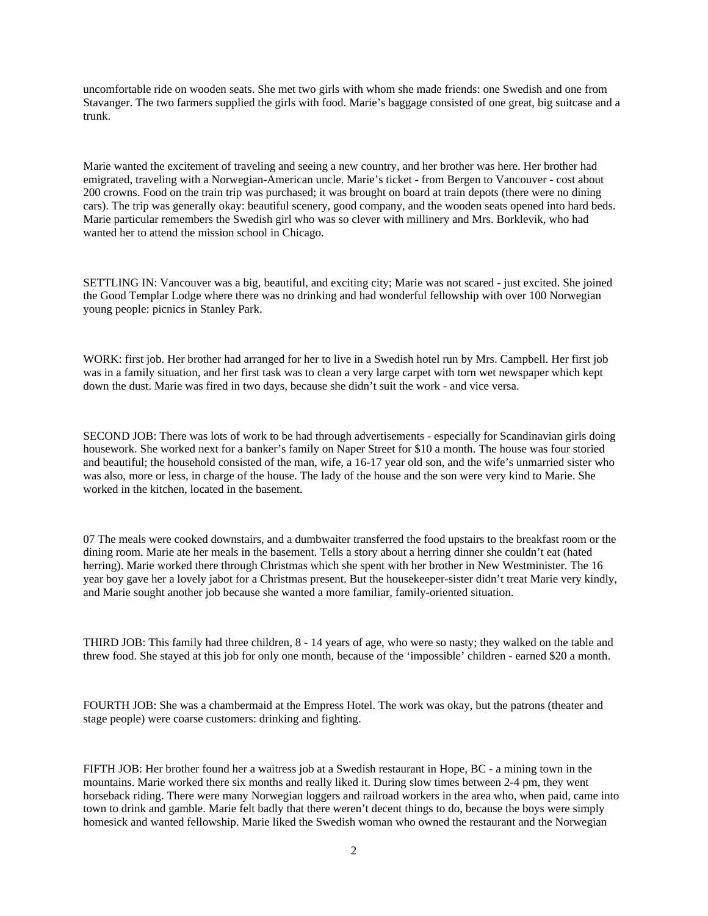uncomfortable ride on wooden seats. She met two girls with whom she made friends: one Swedish and one from Stavanger. The two farmers supplied the girls with food. Marie's baggage consisted of one great, big suitcase and a trunk.

Marie wanted the excitement of traveling and seeing a new country, and her brother was here. Her brother had emigrated, traveling with a Norwegian-American uncle. Marie's ticket - from Bergen to Vancouver - cost about 200 crowns. Food on the train trip was purchased; it was brought on board at train depots (there were no dining cars). The trip was generally okay: beautiful scenery, good company, and the wooden seats opened into hard beds. Marie particular remembers the Swedish girl who was so clever with millinery and Mrs. Borklevik, who had wanted her to attend the mission school in Chicago.

SETTLING IN: Vancouver was a big, beautiful, and exciting city; Marie was not scared - just excited. She joined the Good Templar Lodge where there was no drinking and had wonderful fellowship with over 100 Norwegian young people: picnics in Stanley Park.

WORK: first job. Her brother had arranged for her to live in a Swedish hotel run by Mrs. Campbell. Her first job was in a family situation, and her first task was to clean a very large carpet with torn wet newspaper which kept down the dust. Marie was fired in two days, because she didn't suit the work - and vice versa.

SECOND JOB: There was lots of work to be had through advertisements - especially for Scandinavian girls doing housework. She worked next for a banker's family on Naper Street for \$10 a month. The house was four storied and beautiful; the household consisted of the man, wife, a 16-17 year old son, and the wife's unmarried sister who was also, more or less, in charge of the house. The lady of the house and the son were very kind to Marie. She worked in the kitchen, located in the basement.

07 The meals were cooked downstairs, and a dumbwaiter transferred the food upstairs to the breakfast room or the dining room. Marie ate her meals in the basement. Tells a story about a herring dinner she couldn't eat (hated herring). Marie worked there through Christmas which she spent with her brother in New Westminister. The 16 year boy gave her a lovely jabot for a Christmas present. But the housekeeper-sister didn't treat Marie very kindly, and Marie sought another job because she wanted a more familiar, family-oriented situation.

THIRD JOB: This family had three children, 8 - 14 years of age, who were so nasty; they walked on the table and threw food. She stayed at this job for only one month, because of the 'impossible' children - earned \$20 a month.

FOURTH JOB: She was a chambermaid at the Empress Hotel. The work was okay, but the patrons (theater and stage people) were coarse customers: drinking and fighting.

FIFTH JOB: Her brother found her a waitress job at a Swedish restaurant in Hope, BC - a mining town in the mountains. Marie worked there six months and really liked it. During slow times between 2-4 pm, they went horseback riding. There were many Norwegian loggers and railroad workers in the area who, when paid, came into town to drink and gamble. Marie felt badly that there weren't decent things to do, because the boys were simply homesick and wanted fellowship. Marie liked the Swedish woman who owned the restaurant and the Norwegian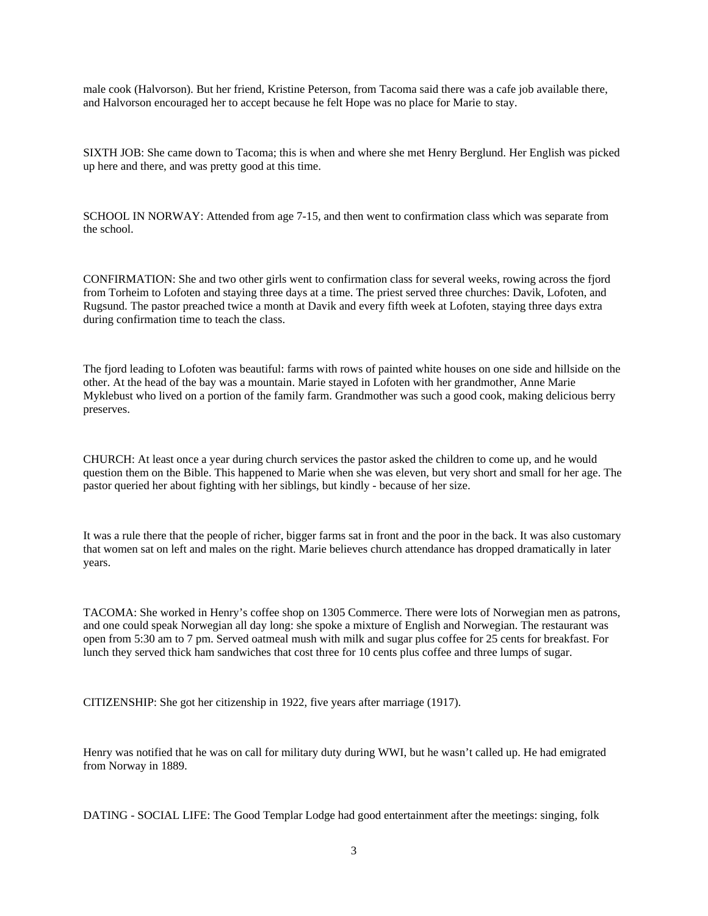male cook (Halvorson). But her friend, Kristine Peterson, from Tacoma said there was a cafe job available there, and Halvorson encouraged her to accept because he felt Hope was no place for Marie to stay.

SIXTH JOB: She came down to Tacoma; this is when and where she met Henry Berglund. Her English was picked up here and there, and was pretty good at this time.

SCHOOL IN NORWAY: Attended from age 7-15, and then went to confirmation class which was separate from the school.

CONFIRMATION: She and two other girls went to confirmation class for several weeks, rowing across the fjord from Torheim to Lofoten and staying three days at a time. The priest served three churches: Davik, Lofoten, and Rugsund. The pastor preached twice a month at Davik and every fifth week at Lofoten, staying three days extra during confirmation time to teach the class.

The fjord leading to Lofoten was beautiful: farms with rows of painted white houses on one side and hillside on the other. At the head of the bay was a mountain. Marie stayed in Lofoten with her grandmother, Anne Marie Myklebust who lived on a portion of the family farm. Grandmother was such a good cook, making delicious berry preserves.

CHURCH: At least once a year during church services the pastor asked the children to come up, and he would question them on the Bible. This happened to Marie when she was eleven, but very short and small for her age. The pastor queried her about fighting with her siblings, but kindly - because of her size.

It was a rule there that the people of richer, bigger farms sat in front and the poor in the back. It was also customary that women sat on left and males on the right. Marie believes church attendance has dropped dramatically in later years.

TACOMA: She worked in Henry's coffee shop on 1305 Commerce. There were lots of Norwegian men as patrons, and one could speak Norwegian all day long: she spoke a mixture of English and Norwegian. The restaurant was open from 5:30 am to 7 pm. Served oatmeal mush with milk and sugar plus coffee for 25 cents for breakfast. For lunch they served thick ham sandwiches that cost three for 10 cents plus coffee and three lumps of sugar.

CITIZENSHIP: She got her citizenship in 1922, five years after marriage (1917).

Henry was notified that he was on call for military duty during WWI, but he wasn't called up. He had emigrated from Norway in 1889.

DATING - SOCIAL LIFE: The Good Templar Lodge had good entertainment after the meetings: singing, folk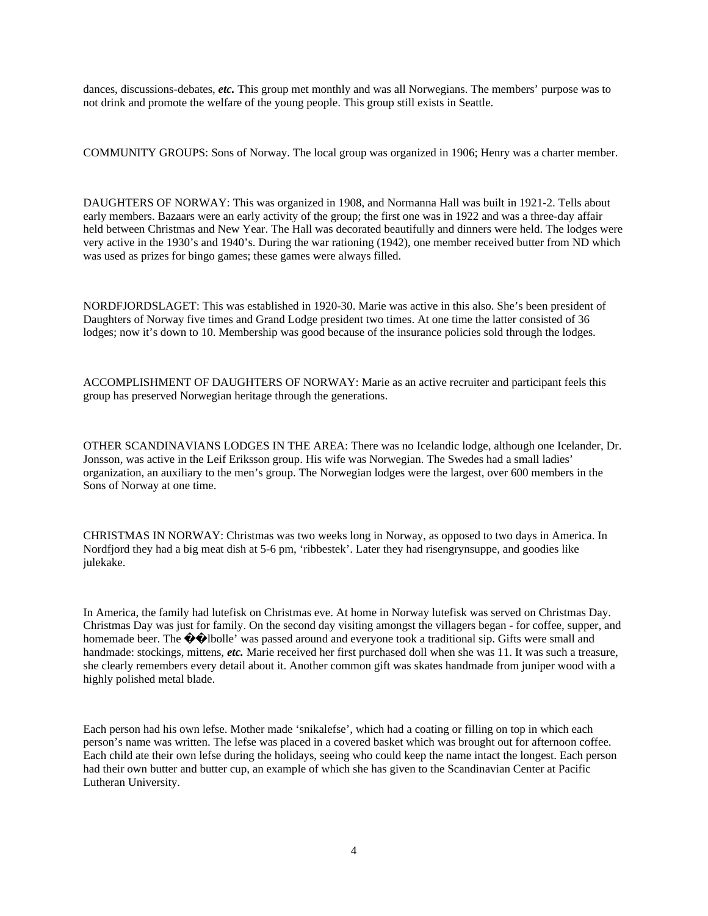dances, discussions-debates, *etc.* This group met monthly and was all Norwegians. The members' purpose was to not drink and promote the welfare of the young people. This group still exists in Seattle.

COMMUNITY GROUPS: Sons of Norway. The local group was organized in 1906; Henry was a charter member.

DAUGHTERS OF NORWAY: This was organized in 1908, and Normanna Hall was built in 1921-2. Tells about early members. Bazaars were an early activity of the group; the first one was in 1922 and was a three-day affair held between Christmas and New Year. The Hall was decorated beautifully and dinners were held. The lodges were very active in the 1930's and 1940's. During the war rationing (1942), one member received butter from ND which was used as prizes for bingo games; these games were always filled.

NORDFJORDSLAGET: This was established in 1920-30. Marie was active in this also. She's been president of Daughters of Norway five times and Grand Lodge president two times. At one time the latter consisted of 36 lodges; now it's down to 10. Membership was good because of the insurance policies sold through the lodges.

ACCOMPLISHMENT OF DAUGHTERS OF NORWAY: Marie as an active recruiter and participant feels this group has preserved Norwegian heritage through the generations.

OTHER SCANDINAVIANS LODGES IN THE AREA: There was no Icelandic lodge, although one Icelander, Dr. Jonsson, was active in the Leif Eriksson group. His wife was Norwegian. The Swedes had a small ladies' organization, an auxiliary to the men's group. The Norwegian lodges were the largest, over 600 members in the Sons of Norway at one time.

CHRISTMAS IN NORWAY: Christmas was two weeks long in Norway, as opposed to two days in America. In Nordfjord they had a big meat dish at 5-6 pm, 'ribbestek'. Later they had risengrynsuppe, and goodies like julekake.

In America, the family had lutefisk on Christmas eve. At home in Norway lutefisk was served on Christmas Day. Christmas Day was just for family. On the second day visiting amongst the villagers began - for coffee, supper, and homemade beer. The  $\bigcirc$  bloolle' was passed around and everyone took a traditional sip. Gifts were small and handmade: stockings, mittens, *etc.* Marie received her first purchased doll when she was 11. It was such a treasure, she clearly remembers every detail about it. Another common gift was skates handmade from juniper wood with a highly polished metal blade.

Each person had his own lefse. Mother made 'snikalefse', which had a coating or filling on top in which each person's name was written. The lefse was placed in a covered basket which was brought out for afternoon coffee. Each child ate their own lefse during the holidays, seeing who could keep the name intact the longest. Each person had their own butter and butter cup, an example of which she has given to the Scandinavian Center at Pacific Lutheran University.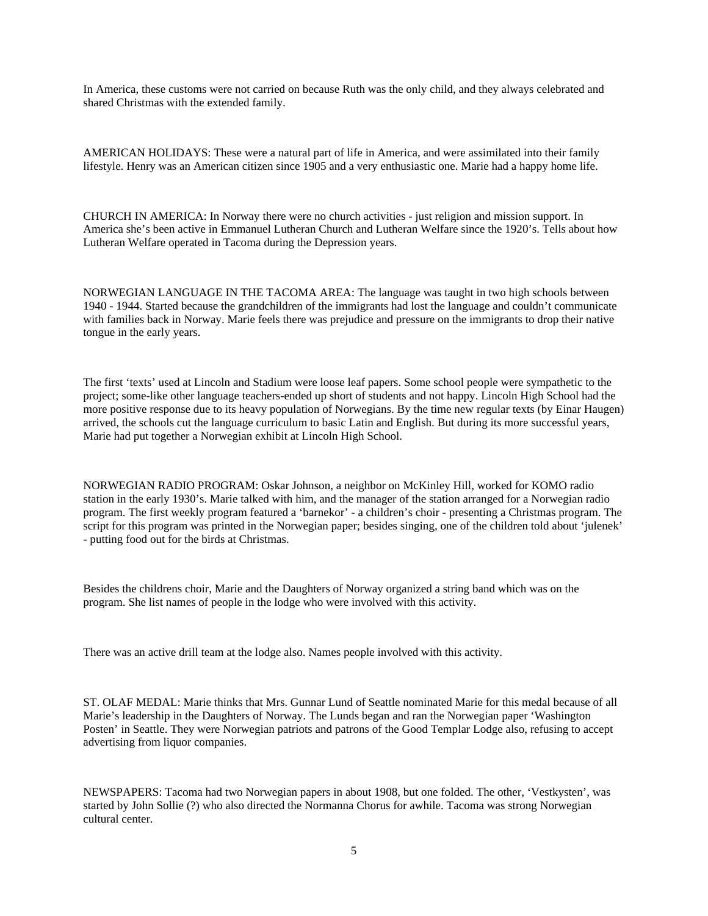In America, these customs were not carried on because Ruth was the only child, and they always celebrated and shared Christmas with the extended family.

AMERICAN HOLIDAYS: These were a natural part of life in America, and were assimilated into their family lifestyle. Henry was an American citizen since 1905 and a very enthusiastic one. Marie had a happy home life.

CHURCH IN AMERICA: In Norway there were no church activities - just religion and mission support. In America she's been active in Emmanuel Lutheran Church and Lutheran Welfare since the 1920's. Tells about how Lutheran Welfare operated in Tacoma during the Depression years.

NORWEGIAN LANGUAGE IN THE TACOMA AREA: The language was taught in two high schools between 1940 - 1944. Started because the grandchildren of the immigrants had lost the language and couldn't communicate with families back in Norway. Marie feels there was prejudice and pressure on the immigrants to drop their native tongue in the early years.

The first 'texts' used at Lincoln and Stadium were loose leaf papers. Some school people were sympathetic to the project; some-like other language teachers-ended up short of students and not happy. Lincoln High School had the more positive response due to its heavy population of Norwegians. By the time new regular texts (by Einar Haugen) arrived, the schools cut the language curriculum to basic Latin and English. But during its more successful years, Marie had put together a Norwegian exhibit at Lincoln High School.

NORWEGIAN RADIO PROGRAM: Oskar Johnson, a neighbor on McKinley Hill, worked for KOMO radio station in the early 1930's. Marie talked with him, and the manager of the station arranged for a Norwegian radio program. The first weekly program featured a 'barnekor' - a children's choir - presenting a Christmas program. The script for this program was printed in the Norwegian paper; besides singing, one of the children told about 'julenek' - putting food out for the birds at Christmas.

Besides the childrens choir, Marie and the Daughters of Norway organized a string band which was on the program. She list names of people in the lodge who were involved with this activity.

There was an active drill team at the lodge also. Names people involved with this activity.

ST. OLAF MEDAL: Marie thinks that Mrs. Gunnar Lund of Seattle nominated Marie for this medal because of all Marie's leadership in the Daughters of Norway. The Lunds began and ran the Norwegian paper 'Washington Posten' in Seattle. They were Norwegian patriots and patrons of the Good Templar Lodge also, refusing to accept advertising from liquor companies.

NEWSPAPERS: Tacoma had two Norwegian papers in about 1908, but one folded. The other, 'Vestkysten', was started by John Sollie (?) who also directed the Normanna Chorus for awhile. Tacoma was strong Norwegian cultural center.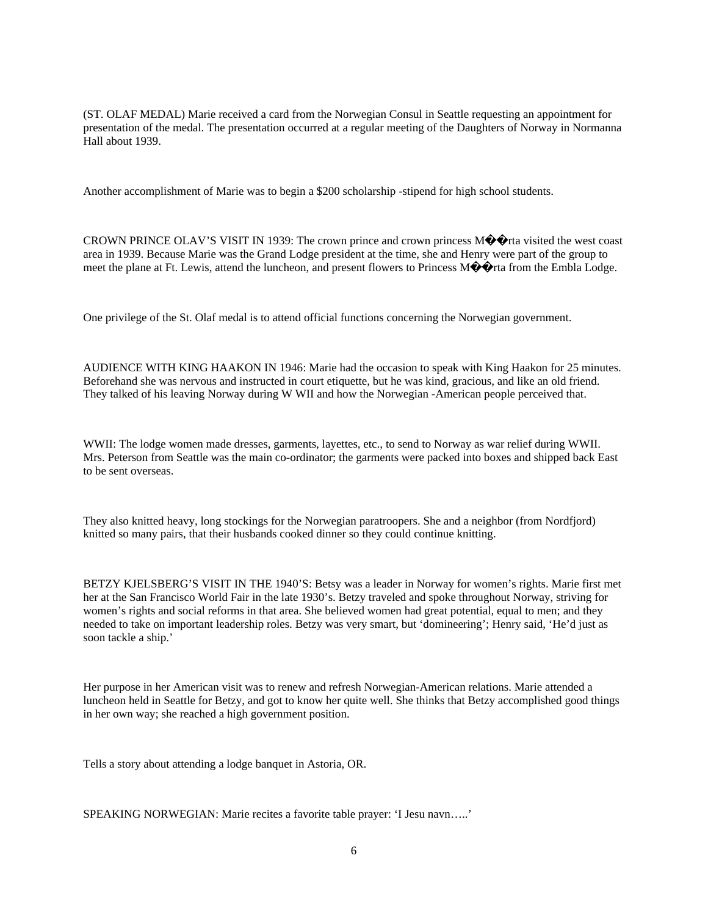(ST. OLAF MEDAL) Marie received a card from the Norwegian Consul in Seattle requesting an appointment for presentation of the medal. The presentation occurred at a regular meeting of the Daughters of Norway in Normanna Hall about 1939.

Another accomplishment of Marie was to begin a \$200 scholarship -stipend for high school students.

CROWN PRINCE OLAV'S VISIT IN 1939: The crown prince and crown princess  $M\hat{\mathbf{\diamond}}\hat{\mathbf{\diamond}}$ rta visited the west coast area in 1939. Because Marie was the Grand Lodge president at the time, she and Henry were part of the group to meet the plane at Ft. Lewis, attend the luncheon, and present flowers to Princess M $\bigcirc$  tra from the Embla Lodge.

One privilege of the St. Olaf medal is to attend official functions concerning the Norwegian government.

AUDIENCE WITH KING HAAKON IN 1946: Marie had the occasion to speak with King Haakon for 25 minutes. Beforehand she was nervous and instructed in court etiquette, but he was kind, gracious, and like an old friend. They talked of his leaving Norway during W WII and how the Norwegian -American people perceived that.

WWII: The lodge women made dresses, garments, layettes, etc., to send to Norway as war relief during WWII. Mrs. Peterson from Seattle was the main co-ordinator; the garments were packed into boxes and shipped back East to be sent overseas.

They also knitted heavy, long stockings for the Norwegian paratroopers. She and a neighbor (from Nordfjord) knitted so many pairs, that their husbands cooked dinner so they could continue knitting.

BETZY KJELSBERG'S VISIT IN THE 1940'S: Betsy was a leader in Norway for women's rights. Marie first met her at the San Francisco World Fair in the late 1930's. Betzy traveled and spoke throughout Norway, striving for women's rights and social reforms in that area. She believed women had great potential, equal to men; and they needed to take on important leadership roles. Betzy was very smart, but 'domineering'; Henry said, 'He'd just as soon tackle a ship.'

Her purpose in her American visit was to renew and refresh Norwegian-American relations. Marie attended a luncheon held in Seattle for Betzy, and got to know her quite well. She thinks that Betzy accomplished good things in her own way; she reached a high government position.

Tells a story about attending a lodge banquet in Astoria, OR.

SPEAKING NORWEGIAN: Marie recites a favorite table prayer: 'I Jesu navn…..'